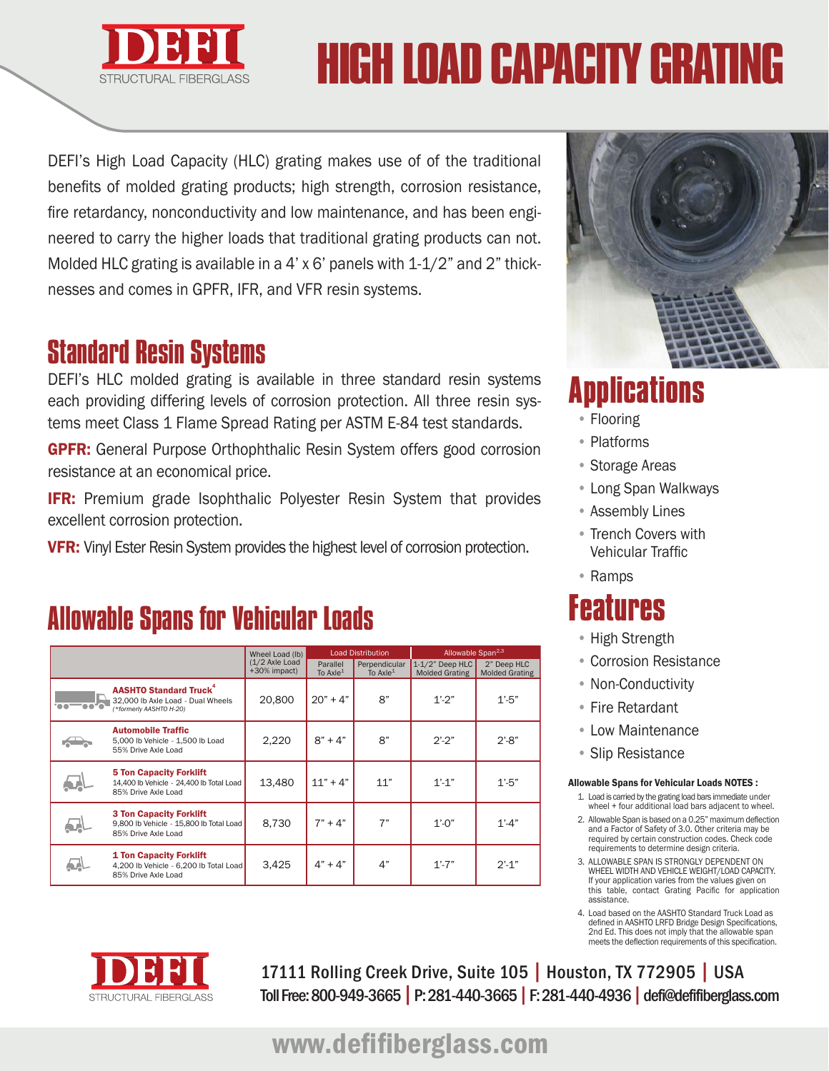

# HIGH LOAD CAPACITY GRAT

DEFI's High Load Capacity (HLC) grating makes use of of the traditional benefits of molded grating products; high strength, corrosion resistance, fire retardancy, nonconductivity and low maintenance, and has been engineered to carry the higher loads that traditional grating products can not. Molded HLC grating is available in a 4' x 6' panels with 1-1/2" and 2" thicknesses and comes in GPFR, IFR, and VFR resin systems.

#### Standard Resin Systems

DEFI's HLC molded grating is available in three standard resin systems each providing differing levels of corrosion protection. All three resin systems meet Class 1 Flame Spread Rating per ASTM E-84 test standards.

GPFR: General Purpose Orthophthalic Resin System offers good corrosion resistance at an economical price.

**IFR:** Premium grade Isophthalic Polyester Resin System that provides excellent corrosion protection.

**VFR:** Vinyl Ester Resin System provides the highest level of corrosion protection.

## Allowable Spans for Vehicular Loads

|                                                                                                           | Wheel Load (lb)                | <b>Load Distribution</b> |                             | Allowable Span <sup>2,3</sup>               |                                      |
|-----------------------------------------------------------------------------------------------------------|--------------------------------|--------------------------|-----------------------------|---------------------------------------------|--------------------------------------|
|                                                                                                           | (1/2 Axle Load<br>+30% impact) | Parallel<br>To $AxIe1$   | Perpendicular<br>To $AxIe1$ | $1-1/2$ " Deep HLC<br><b>Molded Grating</b> | 2" Deep HLC<br><b>Molded Grating</b> |
| <b>AASHTO Standard Truck</b> <sup>4</sup><br>32,000 lb Axle Load - Dual Wheels<br>(*formerly AASHTO H-20) | 20,800                         | $20" + 4"$               | 8"                          | $1' - 2''$                                  | $1' - 5''$                           |
| <b>Automobile Traffic</b><br>5,000 lb Vehicle - 1,500 lb Load<br>55% Drive Axle Load                      | 2,220                          | $8" + 4"$                | 8"                          | $2^{\prime}$ -2"                            | $2' - 8''$                           |
| <b>5 Ton Capacity Forklift</b><br>14,400 lb Vehicle - 24,400 lb Total Load<br>85% Drive Axle Load         | 13,480                         | $11" + 4"$               | 11"                         | $1' - 1''$                                  | $1' - 5''$                           |
| <b>3 Ton Capacity Forklift</b><br>9,800 lb Vehicle - 15,800 lb Total Load<br>85% Drive Axle Load          | 8,730                          | $7" + 4"$                | 7"                          | $1' - 0''$                                  | $1' - 4''$                           |
| <b>1 Ton Capacity Forklift</b><br>4,200 lb Vehicle - 6,200 lb Total Load<br>85% Drive Axle Load           | 3,425                          | $4" + 4"$                | 4"                          | $1' - 7''$                                  | $2' - 1''$                           |



# **Applications**

- Flooring
- Platforms
- Storage Areas
- Long Span Walkways
- Assembly Lines
- Trench Covers with Vehicular Traffic
- Ramps

# **Features**

- High Strength
- Corrosion Resistance
- Non-Conductivity
- Fire Retardant
- Low Maintenance
- Slip Resistance

#### Allowable Spans for Vehicular Loads NOTES :

- 1. Load is carried by the grating load bars immediate under wheel + four additional load bars adjacent to wheel.
- 2. Allowable Span is based on a 0.25" maximum deflection and a Factor of Safety of 3.0. Other criteria may be required by certain construction codes. Check code requirements to determine design criteria.
- 3. ALLOWABLE SPAN IS STRONGLY DEPENDENT ON WHEEL WIDTH AND VEHICLE WEIGHT/LOAD CAPACITY. If your application varies from the values given on this table, contact Grating Pacific for application assistance.
- 4. Load based on the AASHTO Standard Truck Load as defined in AASHTO LRFD Bridge Design Specifications, 2nd Ed. This does not imply that the allowable span meets the deflection requirements of this specification.



17111 Rolling Creek Drive, Suite 105 | Houston, TX 772905 | USA Toll Free: 800-949-3665 | P: 281-440-3665 | F: 281-440-4936 | defi@defifiberglass.com

www.defifiberglass.com